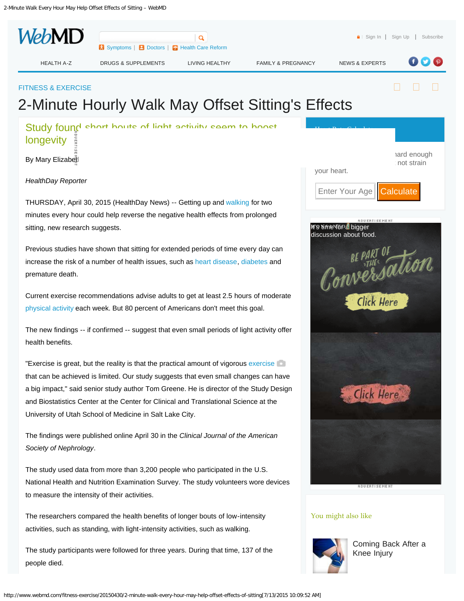<span id="page-0-0"></span>